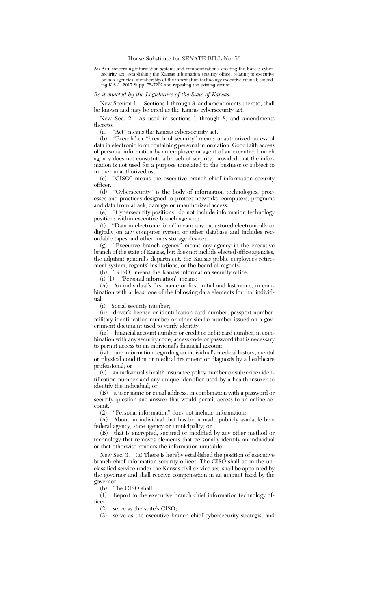AN ACT concerning information systems and communications; creating the Kansas cybersecurity act; establishing the Kansas information security office; relating to executive branch agencies; membership of the information technology executive council; amending K.S.A. 2017 Supp. 75-7202 and repealing the existing section.

## *Be it enacted by the Legislature of the State of Kansas:*

New Section 1. Sections 1 through 8, and amendments thereto, shall be known and may be cited as the Kansas cybersecurity act.

New Sec. 2. As used in sections 1 through 8, and amendments thereto:

(a) ''Act'' means the Kansas cybersecurity act.

(b) ''Breach'' or ''breach of security'' means unauthorized access of data in electronic form containing personal information. Good faith access of personal information by an employee or agent of an executive branch agency does not constitute a breach of security, provided that the information is not used for a purpose unrelated to the business or subject to further unauthorized use.<br>(c) "CISO" means the

"CISO" means the executive branch chief information security officer.

(d) ''Cybersecurity'' is the body of information technologies, processes and practices designed to protect networks, computers, programs and data from attack, damage or unauthorized access.

(e) ''Cybersecurity positions'' do not include information technology positions within executive branch agencies.

(f) ''Data in electronic form'' means any data stored electronically or digitally on any computer system or other database and includes recordable tapes and other mass storage devices.

(g) ''Executive branch agency'' means any agency in the executive branch of the state of Kansas, but does not include elected office agencies, the adjutant general's department, the Kansas public employees retirement system, regents' institutions, or the board of regents.

(h) ''KISO'' means the Kansas information security office.

(i) (1) ''Personal information'' means:

(A) An individual's first name or first initial and last name, in combination with at least one of the following data elements for that individual:<br> $\frac{1}{i}$ 

Social security number;

(ii) driver's license or identification card number, passport number, military identification number or other similar number issued on a government document used to verify identity;

(iii) financial account number or credit or debit card number, in combination with any security code, access code or password that is necessary to permit access to an individual's financial account;

(iv) any information regarding an individual's medical history, mental or physical condition or medical treatment or diagnosis by a healthcare professional; or

(v) an individual's health insurance policy number or subscriber identification number and any unique identifier used by a health insurer to identify the individual; or

(B) a user name or email address, in combination with a password or security question and answer that would permit access to an online account.

(2) "Personal information" does not include information:<br>(A) About an individual that has been made publicly ava About an individual that has been made publicly available by a federal agency, state agency or municipality; or

(B) that is encrypted, secured or modified by any other method or technology that removes elements that personally identify an individual or that otherwise renders the information unusable.

New Sec. 3. (a) There is hereby established the position of executive branch chief information security officer. The CISO shall be in the unclassified service under the Kansas civil service act, shall be appointed by the governor and shall receive compensation in an amount fixed by the governor.

(b) The CISO shall:

(1) Report to the executive branch chief information technology officer;

(2) serve as the state's CISO;

(3) serve as the executive branch chief cybersecurity strategist and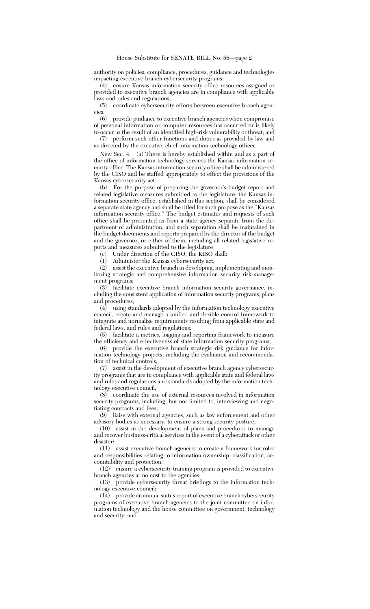authority on policies, compliance, procedures, guidance and technologies impacting executive branch cybersecurity programs;

 $(4)$  ensure Kansas information security office resources assigned or provided to executive branch agencies are in compliance with applicable laws and rules and regulations;

(5) coordinate cybersecurity efforts between executive branch agencies;

(6) provide guidance to executive branch agencies when compromise of personal information or computer resources has occurred or is likely to occur as the result of an identified high-risk vulnerability or threat; and

(7) perform such other functions and duties as provided by law and as directed by the executive chief information technology officer.

New Sec. 4. (a) There is hereby established within and as a part of the office of information technology services the Kansas information security office. The Kansas information security office shall be administered by the CISO and be staffed appropriately to effect the provisions of the Kansas cybersecurity act.

(b) For the purpose of preparing the governor's budget report and related legislative measures submitted to the legislature, the Kansas information security office, established in this section, shall be considered a separate state agency and shall be titled for such purpose as the ''Kansas information security office.'' The budget estimates and requests of such office shall be presented as from a state agency separate from the department of administration, and such separation shall be maintained in the budget documents and reports prepared by the director of the budget and the governor, or either of them, including all related legislative reports and measures submitted to the legislature.

(c) Under direction of the CISO, the KISO shall:

(1) Administer the Kansas cybersecurity act;

(2) assist the executive branch in developing, implementing and monitoring strategic and comprehensive information security risk-management programs;

(3) facilitate executive branch information security governance, including the consistent application of information security programs, plans and procedures;

(4) using standards adopted by the information technology executive council, create and manage a unified and flexible control framework to integrate and normalize requirements resulting from applicable state and federal laws, and rules and regulations;

(5) facilitate a metrics, logging and reporting framework to measure the efficiency and effectiveness of state information security programs;

(6) provide the executive branch strategic risk guidance for information technology projects, including the evaluation and recommendation of technical controls;

(7) assist in the development of executive branch agency cybersecurity programs that are in compliance with applicable state and federal laws and rules and regulations and standards adopted by the information technology executive council;

(8) coordinate the use of external resources involved in information security programs, including, but not limited to, interviewing and negotiating contracts and fees;

(9) liaise with external agencies, such as law enforcement and other advisory bodies as necessary, to ensure a strong security posture;

(10) assist in the development of plans and procedures to manage and recover business-critical services in the event of a cyberattack or other disaster;

(11) assist executive branch agencies to create a framework for roles and responsibilities relating to information ownership, classification, accountability and protection;

(12) ensure a cybersecurity training program is provided to executive branch agencies at no cost to the agencies;

(13) provide cybersecurity threat briefings to the information technology executive council;

(14) provide an annual status report of executive branch cybersecurity programs of executive branch agencies to the joint committee on information technology and the house committee on government, technology and security; and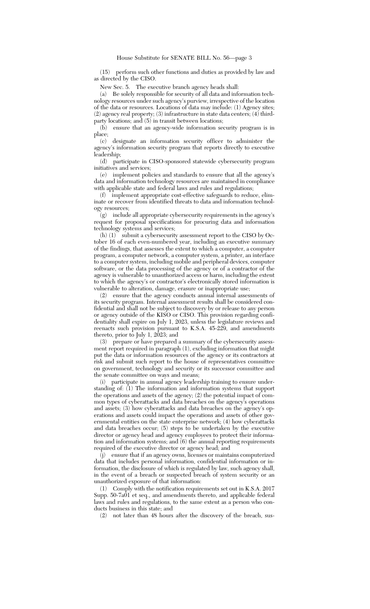(15) perform such other functions and duties as provided by law and as directed by the CISO.

New Sec. 5. The executive branch agency heads shall:

(a) Be solely responsible for security of all data and information technology resources under such agency's purview, irrespective of the location of the data or resources. Locations of data may include: (1) Agency sites; (2) agency real property; (3) infrastructure in state data centers; (4) thirdparty locations; and (5) in transit between locations;

(b) ensure that an agency-wide information security program is in place;

(c) designate an information security officer to administer the agency's information security program that reports directly to executive leadership;

(d) participate in CISO-sponsored statewide cybersecurity program initiatives and services;

(e) implement policies and standards to ensure that all the agency's data and information technology resources are maintained in compliance with applicable state and federal laws and rules and regulations;

(f) implement appropriate cost-effective safeguards to reduce, eliminate or recover from identified threats to data and information technology resources;

(g) include all appropriate cybersecurity requirements in the agency's request for proposal specifications for procuring data and information technology systems and services;

(h) (1) submit a cybersecurity assessment report to the CISO by October 16 of each even-numbered year, including an executive summary of the findings, that assesses the extent to which a computer, a computer program, a computer network, a computer system, a printer, an interface to a computer system, including mobile and peripheral devices, computer software, or the data processing of the agency or of a contractor of the agency is vulnerable to unauthorized access or harm, including the extent to which the agency's or contractor's electronically stored information is vulnerable to alteration, damage, erasure or inappropriate use;

(2) ensure that the agency conducts annual internal assessments of its security program. Internal assessment results shall be considered confidential and shall not be subject to discovery by or release to any person or agency outside of the KISO or CISO. This provision regarding confidentiality shall expire on July 1, 2023, unless the legislature reviews and reenacts such provision pursuant to K.S.A. 45-229, and amendments thereto, prior to July 1,  $2023$ ; and

(3) prepare or have prepared a summary of the cybersecurity assessment report required in paragraph (1), excluding information that might put the data or information resources of the agency or its contractors at risk and submit such report to the house of representatives committee on government, technology and security or its successor committee and the senate committee on ways and means;

(i) participate in annual agency leadership training to ensure understanding of: (1) The information and information systems that support the operations and assets of the agency; (2) the potential impact of common types of cyberattacks and data breaches on the agency's operations and assets; (3) how cyberattacks and data breaches on the agency's operations and assets could impact the operations and assets of other governmental entities on the state enterprise network; (4) how cyberattacks and data breaches occur; (5) steps to be undertaken by the executive director or agency head and agency employees to protect their information and information systems; and (6) the annual reporting requirements required of the executive director or agency head; and

(j) ensure that if an agency owns, licenses or maintains computerized data that includes personal information, confidential information or information, the disclosure of which is regulated by law, such agency shall, in the event of a breach or suspected breach of system security or an unauthorized exposure of that information:

(1) Comply with the notification requirements set out in K.S.A. 2017 Supp. 50-7a01 et seq., and amendments thereto, and applicable federal laws and rules and regulations, to the same extent as a person who conducts business in this state; and

(2) not later than 48 hours after the discovery of the breach, sus-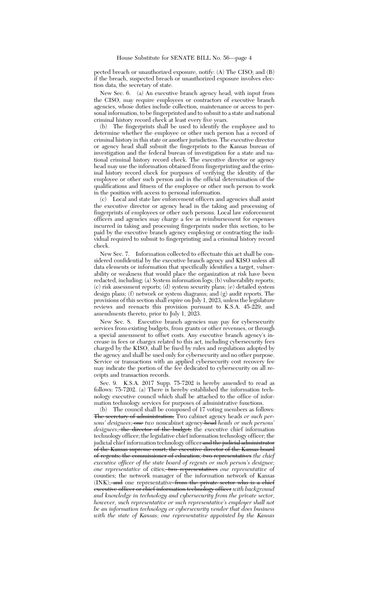pected breach or unauthorized exposure, notify: (A) The CISO; and (B) if the breach, suspected breach or unauthorized exposure involves election data, the secretary of state.

New Sec. 6. (a) An executive branch agency head, with input from the CISO, may require employees or contractors of executive branch agencies, whose duties include collection, maintenance or access to personal information, to be fingerprinted and to submit to a state and national criminal history record check at least every five years.

(b) The fingerprints shall be used to identify the employee and to determine whether the employee or other such person has a record of criminal history in this state or another jurisdiction. The executive director or agency head shall submit the fingerprints to the Kansas bureau of investigation and the federal bureau of investigation for a state and national criminal history record check. The executive director or agency head may use the information obtained from fingerprinting and the criminal history record check for purposes of verifying the identity of the employee or other such person and in the official determination of the qualifications and fitness of the employee or other such person to work in the position with access to personal information.

(c) Local and state law enforcement officers and agencies shall assist the executive director or agency head in the taking and processing of fingerprints of employees or other such persons. Local law enforcement officers and agencies may charge a fee as reimbursement for expenses incurred in taking and processing fingerprints under this section, to be paid by the executive branch agency employing or contracting the individual required to submit to fingerprinting and a criminal history record check.

New Sec. 7. Information collected to effectuate this act shall be considered confidential by the executive branch agency and KISO unless all data elements or information that specifically identifies a target, vulnerability or weakness that would place the organization at risk have been redacted, including: (a) System information logs; (b) vulnerability reports; (c) risk assessment reports; (d) system security plans; (e) detailed system design plans; (f) network or system diagrams; and (g) audit reports. The provisions of this section shall expire on July 1, 2023, unless the legislature reviews and reenacts this provision pursuant to K.S.A. 45-229, and amendments thereto, prior to July 1, 2023.

New Sec. 8. Executive branch agencies may pay for cybersecurity services from existing budgets, from grants or other revenues, or through a special assessment to offset costs. Any executive branch agency's increase in fees or charges related to this act, including cybersecurity fees charged by the KISO, shall be fixed by rules and regulations adopted by the agency and shall be used only for cybersecurity and no other purpose. Service or transactions with an applied cybersecurity cost recovery fee may indicate the portion of the fee dedicated to cybersecurity on all receipts and transaction records.

Sec. 9. K.S.A. 2017 Supp. 75-7202 is hereby amended to read as follows: 75-7202. (a) There is hereby established the information technology executive council which shall be attached to the office of information technology services for purposes of administrative functions.

(b) The council shall be composed of 17 voting members as follows: The secretary of administration; Two cabinet agency heads *or such persons' designees*; one *two* noncabinet agency head *heads or such persons' designees*; the director of the budget; the executive chief information technology officer; the legislative chief information technology officer; the judicial chief information technology officer and the judicial administrator of the Kansas supreme court; the executive director of the Kansas board of regents; the commissioner of education; two representatives *the chief executive officer of the state board of regents or such person's designee; one representative* of cities; two representatives *one representative* of counties; the network manager of the information network of Kansas (INK); and one representative from the private sector who is a chief executive officer or chief information technology officer *with background and knowledge in technology and cybersecurity from the private sector, however, such representative or such representative's employer shall not be an information technology or cybersecurity vendor that does business with the state of Kansas; one representative appointed by the Kansas*